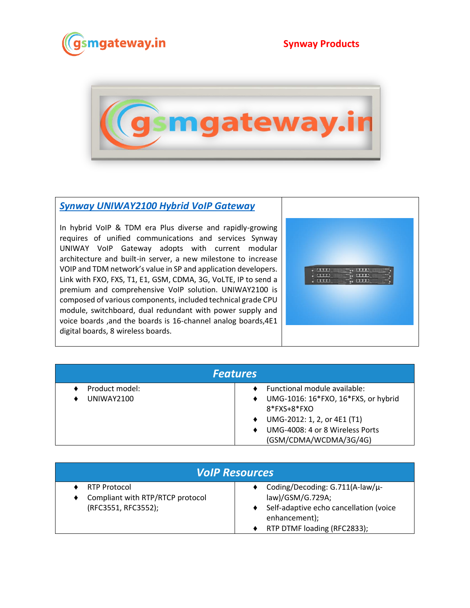



## *[Synway UNIWAY2100 Hybrid VoIP Gateway](https://www.gsmgateway.in/synway/UNIWAY2100-Hybrid-VoIP-GatewayS.html)*

In hybrid VoIP & TDM era Plus diverse and rapidly-growing requires of unified communications and services Synway UNIWAY VoIP Gateway adopts with current modular architecture and built-in server, a new milestone to increase VOIP and TDM network's value in SP and application developers. Link with FXO, FXS, T1, E1, GSM, CDMA, 3G, VoLTE, IP to send a premium and comprehensive VoIP solution. UNIWAY2100 is composed of various components, included technical grade CPU module, switchboard, dual redundant with power supply and voice boards ,and the boards is 16-channel analog boards,4E1 digital boards, 8 wireless boards.



| <b>Features</b>              |                                                                                                                                       |  |  |
|------------------------------|---------------------------------------------------------------------------------------------------------------------------------------|--|--|
| Product model:<br>UNIWAY2100 | Functional module available:<br>UMG-1016: 16*FXO, 16*FXS, or hybrid<br>$\bullet$<br>$8*$ FXS+ $8*$ FXO<br>UMG-2012: 1, 2, or 4E1 (T1) |  |  |
|                              | UMG-4008: 4 or 8 Wireless Ports<br>(GSM/CDMA/WCDMA/3G/4G)                                                                             |  |  |

| <b>VolP Resources</b>                                                          |                                                                                                                                               |  |
|--------------------------------------------------------------------------------|-----------------------------------------------------------------------------------------------------------------------------------------------|--|
| <b>RTP Protocol</b><br>Compliant with RTP/RTCP protocol<br>(RFC3551, RFC3552); | Coding/Decoding: G.711(A-law/u-<br>law)/GSM/G.729A;<br>Self-adaptive echo cancellation (voice<br>enhancement);<br>RTP DTMF loading (RFC2833); |  |